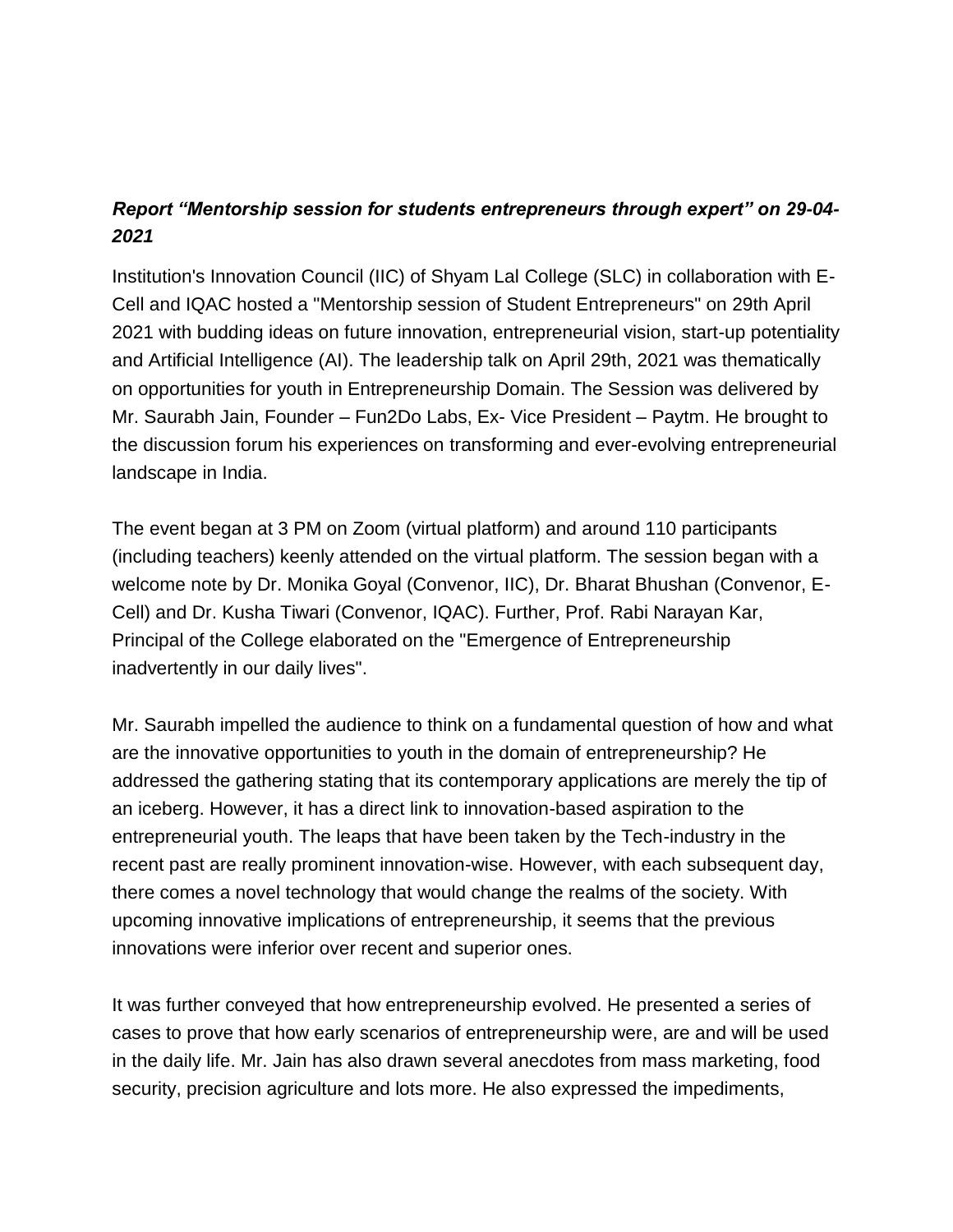## *Report "Mentorship session for students entrepreneurs through expert" on 29-04- 2021*

Institution's Innovation Council (IIC) of Shyam Lal College (SLC) in collaboration with E-Cell and IQAC hosted a "Mentorship session of Student Entrepreneurs" on 29th April 2021 with budding ideas on future innovation, entrepreneurial vision, start-up potentiality and Artificial Intelligence (AI). The leadership talk on April 29th, 2021 was thematically on opportunities for youth in Entrepreneurship Domain. The Session was delivered by Mr. Saurabh Jain, Founder – Fun2Do Labs, Ex- Vice President – Paytm. He brought to the discussion forum his experiences on transforming and ever-evolving entrepreneurial landscape in India.

The event began at 3 PM on Zoom (virtual platform) and around 110 participants (including teachers) keenly attended on the virtual platform. The session began with a welcome note by Dr. Monika Goyal (Convenor, IIC), Dr. Bharat Bhushan (Convenor, E-Cell) and Dr. Kusha Tiwari (Convenor, IQAC). Further, Prof. Rabi Narayan Kar, Principal of the College elaborated on the "Emergence of Entrepreneurship inadvertently in our daily lives".

Mr. Saurabh impelled the audience to think on a fundamental question of how and what are the innovative opportunities to youth in the domain of entrepreneurship? He addressed the gathering stating that its contemporary applications are merely the tip of an iceberg. However, it has a direct link to innovation-based aspiration to the entrepreneurial youth. The leaps that have been taken by the Tech-industry in the recent past are really prominent innovation-wise. However, with each subsequent day, there comes a novel technology that would change the realms of the society. With upcoming innovative implications of entrepreneurship, it seems that the previous innovations were inferior over recent and superior ones.

It was further conveyed that how entrepreneurship evolved. He presented a series of cases to prove that how early scenarios of entrepreneurship were, are and will be used in the daily life. Mr. Jain has also drawn several anecdotes from mass marketing, food security, precision agriculture and lots more. He also expressed the impediments,